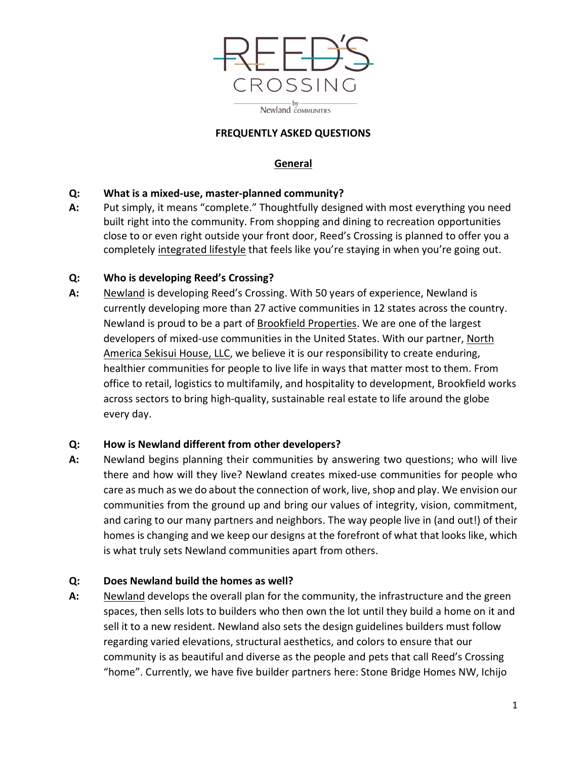

#### **FREQUENTLY ASKED QUESTIONS**

## **General**

### **Q: What is a mixed-use, master-planned community?**

**A:** Put simply, it means "complete." Thoughtfully designed with most everything you need built right into the community. From shopping and dining to recreation opportunities close to or even right outside your front door, Reed's Crossing is planned to offer you a completely [integrated lifestyle](https://www.reedscrossing.com/life-at-reeds/) that feels like you're staying in when you're going out.

#### **Q: Who is developing Reed's Crossing?**

**A:** [Newland](http://www.newland.com/) is developing Reed's Crossing. With 50 years of experience, Newland is currently developing more than 27 active communities in 12 states across the country. Newland is proud to be a part of [Brookfield Properties.](http://www.brookfieldproperties.com/) We are one of the largest developers of mixed-use communities in the United States. With our partner, [North](https://www.nashcommunities.com/)  [America Sekisui House, LLC,](https://www.nashcommunities.com/) we believe it is our responsibility to create enduring, healthier communities for people to live life in ways that matter most to them. From office to retail, logistics to multifamily, and hospitality to development, Brookfield works across sectors to bring high-quality, sustainable real estate to life around the globe every day.

### **Q: How is Newland different from other developers?**

**A:** Newland begins planning their communities by answering two questions; who will live there and how will they live? Newland creates mixed-use communities for people who care as much as we do about the connection of work, live, shop and play. We envision our communities from the ground up and bring our values of integrity, vision, commitment, and caring to our many partners and neighbors. The way people live in (and out!) of their homes is changing and we keep our designs at the forefront of what that looks like, which is what truly sets Newland communities apart from others.

### **Q: Does Newland build the homes as well?**

**A:** [Newland](https://www.newlandco.com/) develops the overall plan for the community, the infrastructure and the green spaces, then sells lots to builders who then own the lot until they build a home on it and sell it to a new resident. Newland also sets the design guidelines builders must follow regarding varied elevations, structural aesthetics, and colors to ensure that our community is as beautiful and diverse as the people and pets that call Reed's Crossing "home". Currently, we have five builder partners here: Stone Bridge Homes NW, Ichijo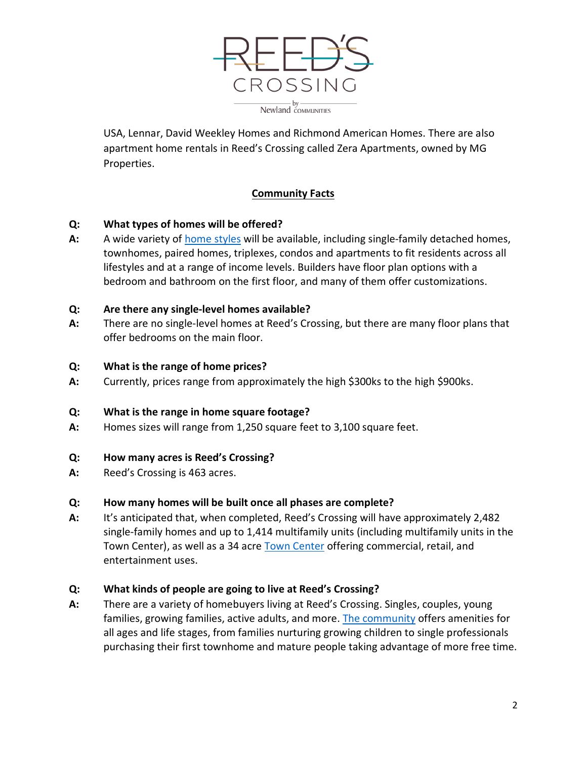

USA, Lennar, David Weekley Homes and Richmond American Homes. There are also apartment home rentals in Reed's Crossing called Zera Apartments, owned by MG Properties.

## **Community Facts**

#### **Q: What types of homes will be offered?**

**A:** A wide variety of [home styles](https://www.reedscrossing.com/new-homes/) will be available, including single-family detached homes, townhomes, paired homes, triplexes, condos and apartments to fit residents across all lifestyles and at a range of income levels. Builders have floor plan options with a bedroom and bathroom on the first floor, and many of them offer customizations.

#### **Q: Are there any single-level homes available?**

**A:** There are no single-level homes at Reed's Crossing, but there are many floor plans that offer bedrooms on the main floor.

#### **Q: What is the range of home prices?**

**A:** Currently, prices range from approximately the high \$300ks to the high \$900ks.

#### **Q: What is the range in home square footage?**

**A:** Homes sizes will range from 1,250 square feet to 3,100 square feet.

#### **Q: How many acres is Reed's Crossing?**

**A:** Reed's Crossing is 463 acres.

#### **Q: How many homes will be built once all phases are complete?**

**A:** It's anticipated that, when completed, Reed's Crossing will have approximately 2,482 single-family homes and up to 1,414 multifamily units (including multifamily units in the Town Center), as well as a 34 acre [Town Center](https://www.reedscrossing.com/life-at-reeds/town-center/) offering commercial, retail, and entertainment uses.

#### **Q: What kinds of people are going to live at Reed's Crossing?**

**A:** There are a variety of homebuyers living at Reed's Crossing. Singles, couples, young families, growing families, active adults, and more. [The community](file://EgnyteDrive/Shared/LEGACY/NLD/Northwest/101-POR/Reeds%20Crossing-11090/Development%20Team-W/Allyse%20Paetsch/Website/reedscrossing.com/life-at-reeds-crossing/) offers amenities for all ages and life stages, from families nurturing growing children to single professionals purchasing their first townhome and mature people taking advantage of more free time.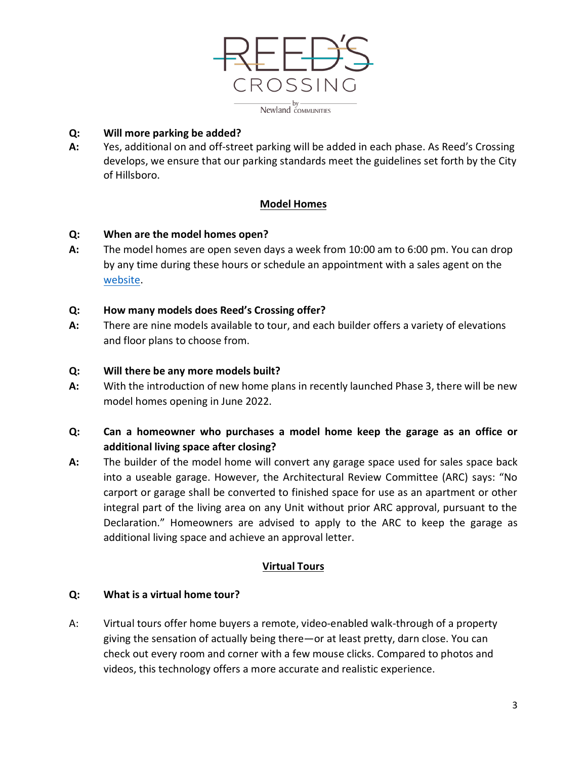

#### **Q: Will more parking be added?**

**A:** Yes, additional on and off-street parking will be added in each phase. As Reed's Crossing develops, we ensure that our parking standards meet the guidelines set forth by the City of Hillsboro.

### **Model Homes**

#### **Q: When are the model homes open?**

**A:** The model homes are open seven days a week from 10:00 am to 6:00 pm. You can drop by any time during these hours or schedule an appointment with a sales agent on the [website.](file://EgnyteDrive/Shared/LEGACY/NLD/Northwest/101-POR/Reeds%20Crossing-11090/Development%20Team-W/Allyse%20Paetsch/Website/reedscrossing.com/find-a-home/builders-models/)

#### **Q: How many models does Reed's Crossing offer?**

**A:** There are nine models available to tour, and each builder offers a variety of elevations and floor plans to choose from.

#### **Q: Will there be any more models built?**

**A:** With the introduction of new home plans in recently launched Phase 3, there will be new model homes opening in June 2022.

# **Q: Can a homeowner who purchases a model home keep the garage as an office or additional living space after closing?**

**A:** The builder of the model home will convert any garage space used for sales space back into a useable garage. However, the Architectural Review Committee (ARC) says: "No carport or garage shall be converted to finished space for use as an apartment or other integral part of the living area on any Unit without prior ARC approval, pursuant to the Declaration." Homeowners are advised to apply to the ARC to keep the garage as additional living space and achieve an approval letter.

### **Virtual Tours**

#### **Q: What is a virtual home tour?**

A: Virtual tours offer home buyers a remote, video-enabled walk-through of a property giving the sensation of actually being there—or at least pretty, darn close. You can check out every room and corner with a few mouse clicks. Compared to photos and videos, this technology offers a more accurate and realistic experience.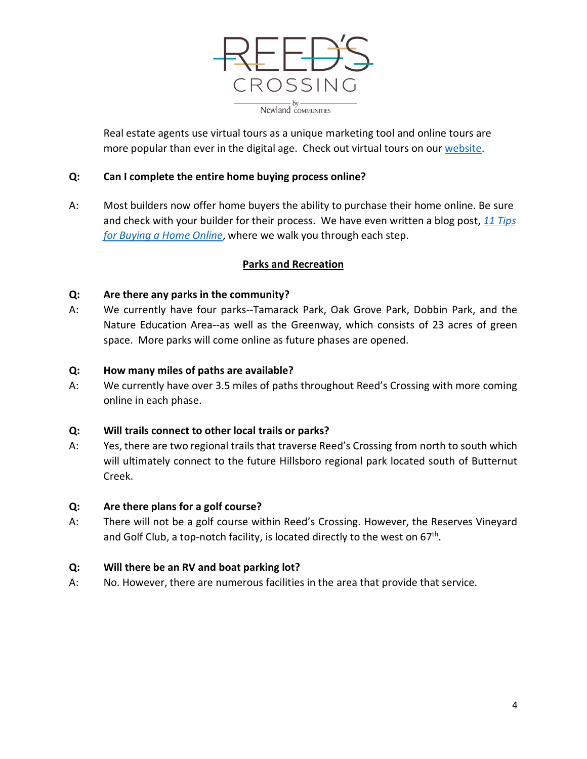

Real estate agents use virtual tours as a unique marketing tool and online tours are more popular than ever in the digital age. Check out virtual tours on our [website.](http://www.reedscrossing.com/)

### **Q: Can I complete the entire home buying process online?**

A: Most builders now offer home buyers the ability to purchase their home online. Be sure and check with your builder for their process. We have even written a blog post, *[11 Tips](https://www.reedscrossing.com/the-latest/blog/posts-by-date/2020/may/11-tips-for-buying-a-home-online/)  [for Buying a Home Online](https://www.reedscrossing.com/the-latest/blog/posts-by-date/2020/may/11-tips-for-buying-a-home-online/)*, where we walk you through each step.

#### **Parks and Recreation**

#### **Q: Are there any parks in the community?**

A: We currently have four parks--Tamarack Park, Oak Grove Park, Dobbin Park, and the Nature Education Area--as well as the Greenway, which consists of 23 acres of green space. More parks will come online as future phases are opened.

#### **Q: How many miles of paths are available?**

A: We currently have over 3.5 miles of paths throughout Reed's Crossing with more coming online in each phase.

#### **Q: Will trails connect to other local trails or parks?**

A: Yes, there are two regional trails that traverse Reed's Crossing from north to south which will ultimately connect to the future Hillsboro regional park located south of Butternut Creek.

#### **Q: Are there plans for a golf course?**

A: There will not be a golf course within Reed's Crossing. However, the Reserves Vineyard and Golf Club, a top-notch facility, is located directly to the west on  $67<sup>th</sup>$ .

### **Q: Will there be an RV and boat parking lot?**

A: No. However, there are numerous facilities in the area that provide that service.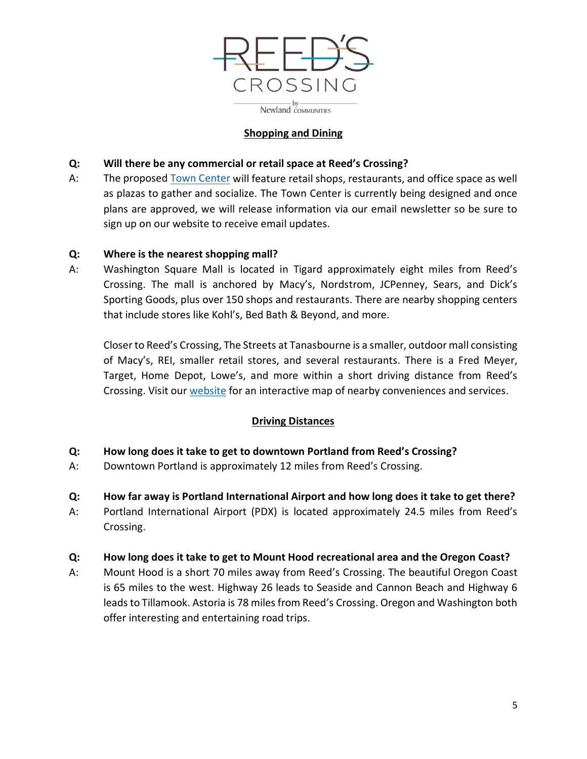

### **Shopping and Dining**

## **Q: Will there be any commercial or retail space at Reed's Crossing?**

A: The proposed [Town Center](file://EgnyteDrive/Shared/LEGACY/NLD/Northwest/101-POR/Reeds%20Crossing-11090/Development%20Team-W/Allyse%20Paetsch/Website/reedscrossing.com/life-at-reeds-crossing/town-center/) will feature retail shops, restaurants, and office space as well as plazas to gather and socialize. The Town Center is currently being designed and once plans are approved, we will release information via our email newsletter so be sure to sign up on our website to receive email updates.

### **Q: Where is the nearest shopping mall?**

A: Washington Square Mall is located in Tigard approximately eight miles from Reed's Crossing. The mall is anchored by Macy's, Nordstrom, JCPenney, Sears, and Dick's Sporting Goods, plus over 150 shops and restaurants. There are nearby shopping centers that include stores like Kohl's, Bed Bath & Beyond, and more.

Closer to Reed's Crossing, The Streets at Tanasbourne is a smaller, outdoor mall consisting of Macy's, REI, smaller retail stores, and several restaurants. There is a Fred Meyer, Target, Home Depot, Lowe's, and more within a short driving distance from Reed's Crossing. Visit our [website](http://www.reedscrossing.com/) for an interactive map of nearby conveniences and services.

### **Driving Distances**

- **Q: How long does it take to get to downtown Portland from Reed's Crossing?**
- A: Downtown Portland is approximately 12 miles from Reed's Crossing.
- **Q: How far away is Portland International Airport and how long does it take to get there?**
- A: Portland International Airport (PDX) is located approximately 24.5 miles from Reed's Crossing.

### **Q: How long does it take to get to Mount Hood recreational area and the Oregon Coast?**

A: Mount Hood is a short 70 miles away from Reed's Crossing. The beautiful Oregon Coast is 65 miles to the west. Highway 26 leads to Seaside and Cannon Beach and Highway 6 leads to Tillamook. Astoria is 78 miles from Reed's Crossing. Oregon and Washington both offer interesting and entertaining road trips.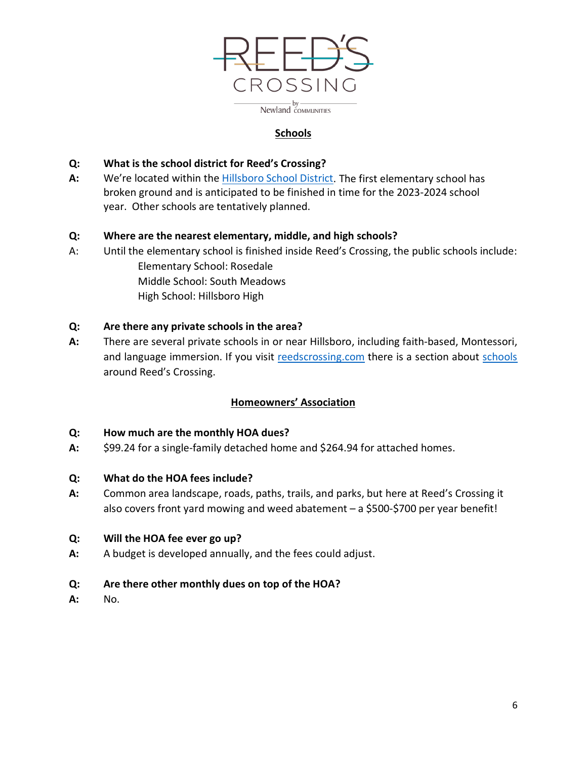

## **Schools**

## **Q: What is the school district for Reed's Crossing?**

**A:** We're located within the [Hillsboro School District.](https://www.reedscrossing.com/life-at-reeds/education/) The first elementary school has broken ground and is anticipated to be finished in time for the 2023-2024 school year. Other schools are tentatively planned.

## **Q: Where are the nearest elementary, middle, and high schools?**

A: Until the elementary school is finished inside Reed's Crossing, the public schools include: Elementary School: Rosedale Middle School: South Meadows High School: Hillsboro High

## **Q: Are there any private schools in the area?**

**A:** There are several private schools in or near Hillsboro, including faith-based, Montessori, and language immersion. If you visit [reedscrossing.com](http://www.reedscrossing.com/) there is a section about [schools](https://www.reedscrossing.com/life-at-reeds/education/) around Reed's Crossing.

### **Homeowners' Association**

### **Q: How much are the monthly HOA dues?**

**A:** \$99.24 for a single-family detached home and \$264.94 for attached homes.

### **Q: What do the HOA fees include?**

**A:** Common area landscape, roads, paths, trails, and parks, but here at Reed's Crossing it also covers front yard mowing and weed abatement – a \$500-\$700 per year benefit!

### **Q: Will the HOA fee ever go up?**

**A:** A budget is developed annually, and the fees could adjust.

### **Q: Are there other monthly dues on top of the HOA?**

**A:** No.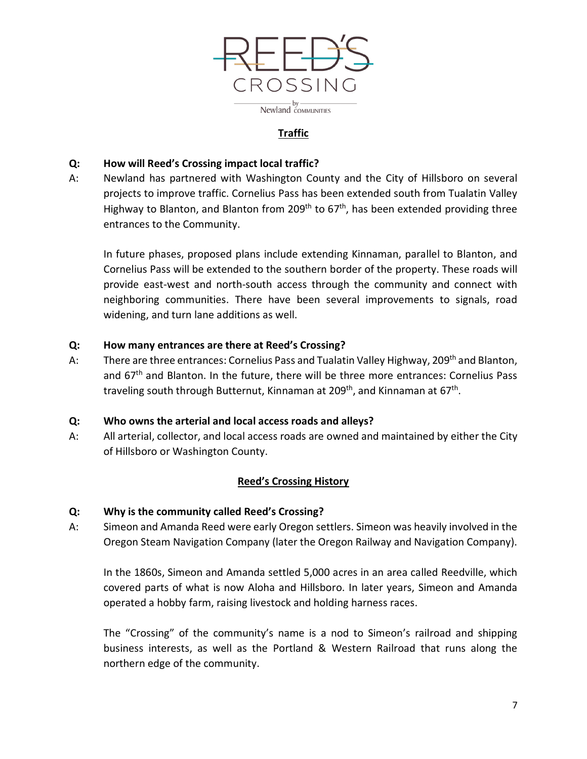

# **Traffic**

#### **Q: How will Reed's Crossing impact local traffic?**

A: Newland has partnered with Washington County and the City of Hillsboro on several projects to improve traffic. Cornelius Pass has been extended south from Tualatin Valley Highway to Blanton, and Blanton from 209<sup>th</sup> to  $67<sup>th</sup>$ , has been extended providing three entrances to the Community.

In future phases, proposed plans include extending Kinnaman, parallel to Blanton, and Cornelius Pass will be extended to the southern border of the property. These roads will provide east-west and north-south access through the community and connect with neighboring communities. There have been several improvements to signals, road widening, and turn lane additions as well.

#### **Q: How many entrances are there at Reed's Crossing?**

A: There are three entrances: Cornelius Pass and Tualatin Valley Highway, 209<sup>th</sup> and Blanton, and  $67<sup>th</sup>$  and Blanton. In the future, there will be three more entrances: Cornelius Pass traveling south through Butternut, Kinnaman at 209<sup>th</sup>, and Kinnaman at  $67<sup>th</sup>$ .

#### **Q: Who owns the arterial and local access roads and alleys?**

A: All arterial, collector, and local access roads are owned and maintained by either the City of Hillsboro or Washington County.

### **Reed's Crossing History**

#### **Q: Why is the community called Reed's Crossing?**

A: Simeon and Amanda Reed were early Oregon settlers. Simeon was heavily involved in the Oregon Steam Navigation Company (later the Oregon Railway and Navigation Company).

In the 1860s, Simeon and Amanda settled 5,000 acres in an area called Reedville, which covered parts of what is now Aloha and Hillsboro. In later years, Simeon and Amanda operated a hobby farm, raising livestock and holding harness races.

The "Crossing" of the community's name is a nod to Simeon's railroad and shipping business interests, as well as the Portland & Western Railroad that runs along the northern edge of the community.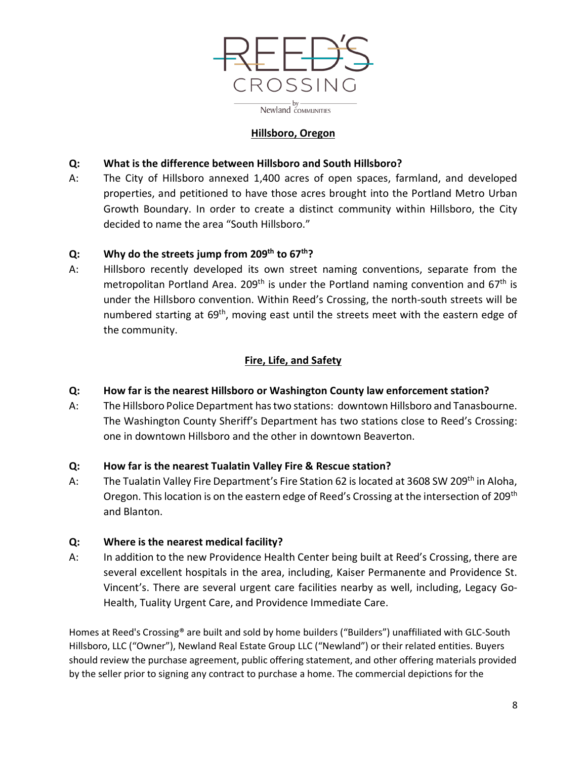

## **Hillsboro, Oregon**

## **Q: What is the difference between Hillsboro and South Hillsboro?**

A: The City of Hillsboro annexed 1,400 acres of open spaces, farmland, and developed properties, and petitioned to have those acres brought into the Portland Metro Urban Growth Boundary. In order to create a distinct community within Hillsboro, the City decided to name the area "South Hillsboro."

### **Q: Why do the streets jump from 209th to 67th?**

A: Hillsboro recently developed its own street naming conventions, separate from the metropolitan Portland Area. 209<sup>th</sup> is under the Portland naming convention and 67<sup>th</sup> is under the Hillsboro convention. Within Reed's Crossing, the north-south streets will be numbered starting at 69<sup>th</sup>, moving east until the streets meet with the eastern edge of the community.

# **Fire, Life, and Safety**

# **Q: How far is the nearest Hillsboro or Washington County law enforcement station?**

A: The Hillsboro Police Department has two stations: downtown Hillsboro and Tanasbourne. The Washington County Sheriff's Department has two stations close to Reed's Crossing: one in downtown Hillsboro and the other in downtown Beaverton.

### **Q: How far is the nearest Tualatin Valley Fire & Rescue station?**

A: The Tualatin Valley Fire Department's Fire Station 62 is located at 3608 SW 209<sup>th</sup> in Aloha, Oregon. This location is on the eastern edge of Reed's Crossing at the intersection of 209<sup>th</sup> and Blanton.

### **Q: Where is the nearest medical facility?**

A: In addition to the new Providence Health Center being built at Reed's Crossing, there are several excellent hospitals in the area, including, Kaiser Permanente and Providence St. Vincent's. There are several urgent care facilities nearby as well, including, Legacy Go-Health, Tuality Urgent Care, and Providence Immediate Care.

Homes at Reed's Crossing® are built and sold by home builders ("Builders") unaffiliated with GLC-South Hillsboro, LLC ("Owner"), Newland Real Estate Group LLC ("Newland") or their related entities. Buyers should review the purchase agreement, public offering statement, and other offering materials provided by the seller prior to signing any contract to purchase a home. The commercial depictions for the